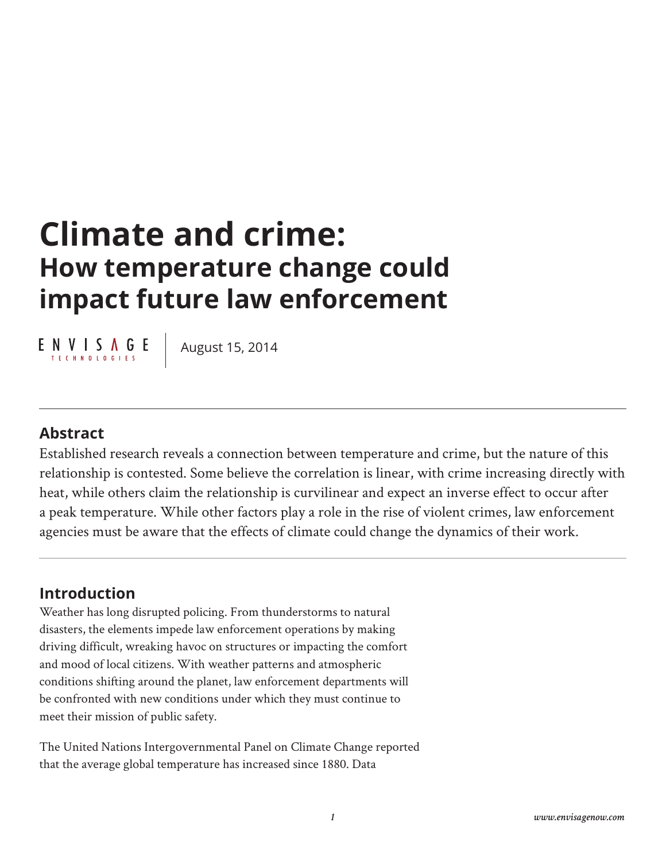# **Climate and crime: How temperature change could impact future law enforcement**

 $E \underset{\text{TECHNOLO EIF S}}{\text{N}} \underbrace{\text{N}}$ 

August 15, 2014

### **Abstract**

Established research reveals a connection between temperature and crime, but the nature of this relationship is contested. Some believe the correlation is linear, with crime increasing directly with heat, while others claim the relationship is curvilinear and expect an inverse effect to occur after a peak temperature. While other factors play a role in the rise of violent crimes, law enforcement agencies must be aware that the effects of climate could change the dynamics of their work.

## **Introduction**

Weather has long disrupted policing. From thunderstorms to natural disasters, the elements impede law enforcement operations by making driving difficult, wreaking havoc on structures or impacting the comfort and mood of local citizens. With weather patterns and atmospheric conditions shifting around the planet, law enforcement departments will be confronted with new conditions under which they must continue to meet their mission of public safety.

The United Nations Intergovernmental Panel on Climate Change reported that the average global temperature has increased since 1880. Data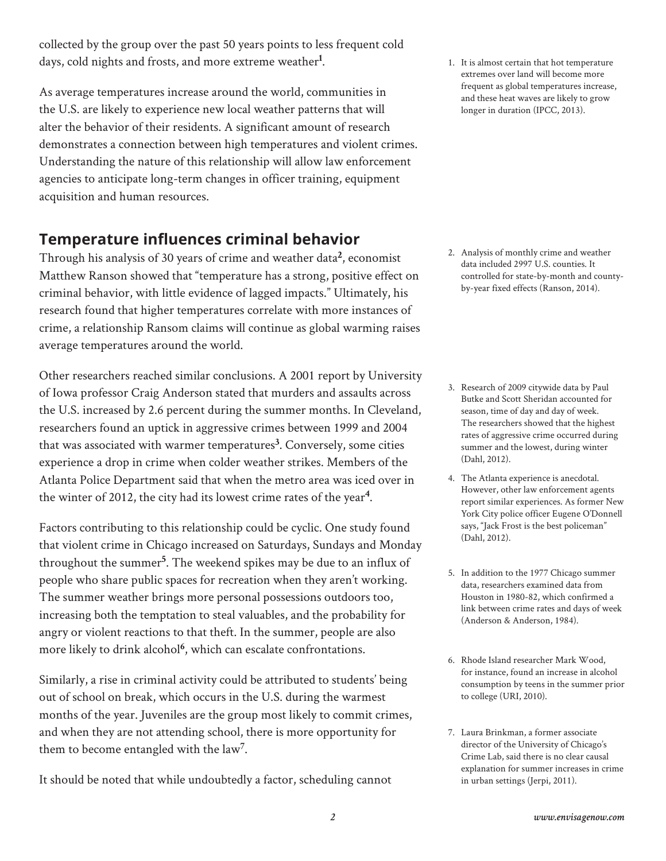collected by the group over the past 50 years points to less frequent cold days, cold nights and frosts, and more extreme weather**1** .

As average temperatures increase around the world, communities in the U.S. are likely to experience new local weather patterns that will alter the behavior of their residents. A significant amount of research demonstrates a connection between high temperatures and violent crimes. Understanding the nature of this relationship will allow law enforcement agencies to anticipate long-term changes in officer training, equipment acquisition and human resources.

## **Temperature influences criminal behavior**

Through his analysis of 30 years of crime and weather data**2**, economist Matthew Ranson showed that "temperature has a strong, positive effect on criminal behavior, with little evidence of lagged impacts." Ultimately, his research found that higher temperatures correlate with more instances of crime, a relationship Ransom claims will continue as global warming raises average temperatures around the world.

Other researchers reached similar conclusions. A 2001 report by University of Iowa professor Craig Anderson stated that murders and assaults across the U.S. increased by 2.6 percent during the summer months. In Cleveland, researchers found an uptick in aggressive crimes between 1999 and 2004 that was associated with warmer temperatures**3**. Conversely, some cities experience a drop in crime when colder weather strikes. Members of the Atlanta Police Department said that when the metro area was iced over in the winter of 2012, the city had its lowest crime rates of the year**4**.

Factors contributing to this relationship could be cyclic. One study found that violent crime in Chicago increased on Saturdays, Sundays and Monday throughout the summer**5** . The weekend spikes may be due to an influx of people who share public spaces for recreation when they aren't working. The summer weather brings more personal possessions outdoors too, increasing both the temptation to steal valuables, and the probability for angry or violent reactions to that theft. In the summer, people are also more likely to drink alcohol**6**, which can escalate confrontations.

Similarly, a rise in criminal activity could be attributed to students' being out of school on break, which occurs in the U.S. during the warmest months of the year. Juveniles are the group most likely to commit crimes, and when they are not attending school, there is more opportunity for them to become entangled with the law**7**.

It should be noted that while undoubtedly a factor, scheduling cannot

1. It is almost certain that hot temperature extremes over land will become more frequent as global temperatures increase, and these heat waves are likely to grow longer in duration (IPCC, 2013).

2. Analysis of monthly crime and weather data included 2997 U.S. counties. It controlled for state-by-month and countyby-year fixed effects (Ranson, 2014).

- 3. Research of 2009 citywide data by Paul Butke and Scott Sheridan accounted for season, time of day and day of week. The researchers showed that the highest rates of aggressive crime occurred during summer and the lowest, during winter (Dahl, 2012).
- 4. The Atlanta experience is anecdotal. However, other law enforcement agents report similar experiences. As former New York City police officer Eugene O'Donnell says, "Jack Frost is the best policeman" (Dahl, 2012).
- 5. In addition to the 1977 Chicago summer data, researchers examined data from Houston in 1980-82, which confirmed a link between crime rates and days of week (Anderson & Anderson, 1984).
- 6. Rhode Island researcher Mark Wood, for instance, found an increase in alcohol consumption by teens in the summer prior to college (URI, 2010).
- 7. Laura Brinkman, a former associate director of the University of Chicago's Crime Lab, said there is no clear causal explanation for summer increases in crime in urban settings (Jerpi, 2011).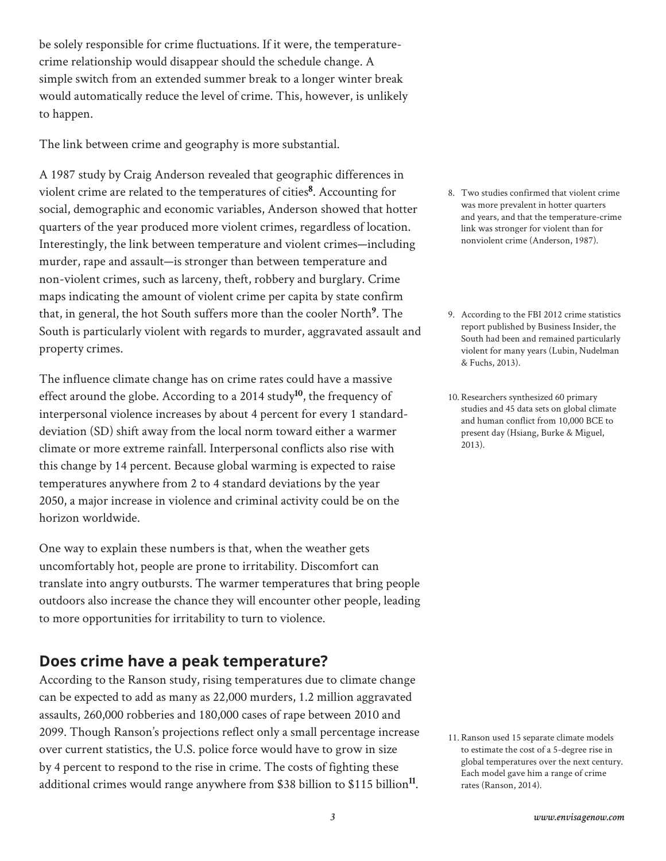be solely responsible for crime fluctuations. If it were, the temperaturecrime relationship would disappear should the schedule change. A simple switch from an extended summer break to a longer winter break would automatically reduce the level of crime. This, however, is unlikely to happen.

The link between crime and geography is more substantial.

A 1987 study by Craig Anderson revealed that geographic differences in violent crime are related to the temperatures of cities**8**. Accounting for social, demographic and economic variables, Anderson showed that hotter quarters of the year produced more violent crimes, regardless of location. Interestingly, the link between temperature and violent crimes—including murder, rape and assault—is stronger than between temperature and non-violent crimes, such as larceny, theft, robbery and burglary. Crime maps indicating the amount of violent crime per capita by state confirm that, in general, the hot South suffers more than the cooler North**9** . The South is particularly violent with regards to murder, aggravated assault and property crimes.

The influence climate change has on crime rates could have a massive effect around the globe. According to a 2014 study**10**, the frequency of interpersonal violence increases by about 4 percent for every 1 standarddeviation (SD) shift away from the local norm toward either a warmer climate or more extreme rainfall. Interpersonal conflicts also rise with this change by 14 percent. Because global warming is expected to raise temperatures anywhere from 2 to 4 standard deviations by the year 2050, a major increase in violence and criminal activity could be on the horizon worldwide.

One way to explain these numbers is that, when the weather gets uncomfortably hot, people are prone to irritability. Discomfort can translate into angry outbursts. The warmer temperatures that bring people outdoors also increase the chance they will encounter other people, leading to more opportunities for irritability to turn to violence.

#### **Does crime have a peak temperature?**

According to the Ranson study, rising temperatures due to climate change can be expected to add as many as 22,000 murders, 1.2 million aggravated assaults, 260,000 robberies and 180,000 cases of rape between 2010 and 2099. Though Ranson's projections reflect only a small percentage increase over current statistics, the U.S. police force would have to grow in size by 4 percent to respond to the rise in crime. The costs of fighting these additional crimes would range anywhere from \$38 billion to \$115 billion**11**.

- 8. Two studies confirmed that violent crime was more prevalent in hotter quarters and years, and that the temperature-crime link was stronger for violent than for nonviolent crime (Anderson, 1987).
- 9. According to the FBI 2012 crime statistics report published by Business Insider, the South had been and remained particularly violent for many years (Lubin, Nudelman & Fuchs, 2013).
- 10.Researchers synthesized 60 primary studies and 45 data sets on global climate and human conflict from 10,000 BCE to present day (Hsiang, Burke & Miguel, 2013).

11.Ranson used 15 separate climate models to estimate the cost of a 5-degree rise in global temperatures over the next century. Each model gave him a range of crime rates (Ranson, 2014).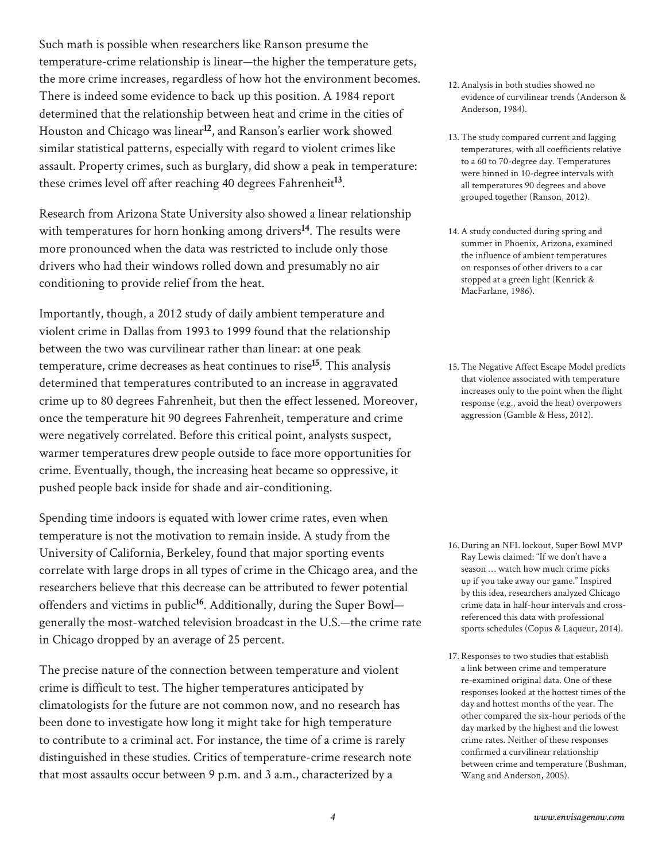Such math is possible when researchers like Ranson presume the temperature-crime relationship is linear—the higher the temperature gets, the more crime increases, regardless of how hot the environment becomes. There is indeed some evidence to back up this position. A 1984 report determined that the relationship between heat and crime in the cities of Houston and Chicago was linear**12**, and Ranson's earlier work showed similar statistical patterns, especially with regard to violent crimes like assault. Property crimes, such as burglary, did show a peak in temperature: these crimes level off after reaching 40 degrees Fahrenheit**13**.

Research from Arizona State University also showed a linear relationship with temperatures for horn honking among drivers**14**. The results were more pronounced when the data was restricted to include only those drivers who had their windows rolled down and presumably no air conditioning to provide relief from the heat.

Importantly, though, a 2012 study of daily ambient temperature and violent crime in Dallas from 1993 to 1999 found that the relationship between the two was curvilinear rather than linear: at one peak temperature, crime decreases as heat continues to rise**15**. This analysis determined that temperatures contributed to an increase in aggravated crime up to 80 degrees Fahrenheit, but then the effect lessened. Moreover, once the temperature hit 90 degrees Fahrenheit, temperature and crime were negatively correlated. Before this critical point, analysts suspect, warmer temperatures drew people outside to face more opportunities for crime. Eventually, though, the increasing heat became so oppressive, it pushed people back inside for shade and air-conditioning.

Spending time indoors is equated with lower crime rates, even when temperature is not the motivation to remain inside. A study from the University of California, Berkeley, found that major sporting events correlate with large drops in all types of crime in the Chicago area, and the researchers believe that this decrease can be attributed to fewer potential offenders and victims in public**16**. Additionally, during the Super Bowl generally the most-watched television broadcast in the U.S.—the crime rate in Chicago dropped by an average of 25 percent.

The precise nature of the connection between temperature and violent crime is difficult to test. The higher temperatures anticipated by climatologists for the future are not common now, and no research has been done to investigate how long it might take for high temperature to contribute to a criminal act. For instance, the time of a crime is rarely distinguished in these studies. Critics of temperature-crime research note that most assaults occur between 9 p.m. and 3 a.m., characterized by a

- 12.Analysis in both studies showed no evidence of curvilinear trends (Anderson & Anderson, 1984).
- 13.The study compared current and lagging temperatures, with all coefficients relative to a 60 to 70-degree day. Temperatures were binned in 10-degree intervals with all temperatures 90 degrees and above grouped together (Ranson, 2012).
- 14.A study conducted during spring and summer in Phoenix, Arizona, examined the influence of ambient temperatures on responses of other drivers to a car stopped at a green light (Kenrick & MacFarlane, 1986).
- 15.The Negative Affect Escape Model predicts that violence associated with temperature increases only to the point when the flight response (e.g., avoid the heat) overpowers aggression (Gamble & Hess, 2012).

- 16. During an NFL lockout, Super Bowl MVP Ray Lewis claimed: "If we don't have a season … watch how much crime picks up if you take away our game." Inspired by this idea, researchers analyzed Chicago crime data in half-hour intervals and crossreferenced this data with professional sports schedules (Copus & Laqueur, 2014).
- 17.Responses to two studies that establish a link between crime and temperature re-examined original data. One of these responses looked at the hottest times of the day and hottest months of the year. The other compared the six-hour periods of the day marked by the highest and the lowest crime rates. Neither of these responses confirmed a curvilinear relationship between crime and temperature (Bushman, Wang and Anderson, 2005).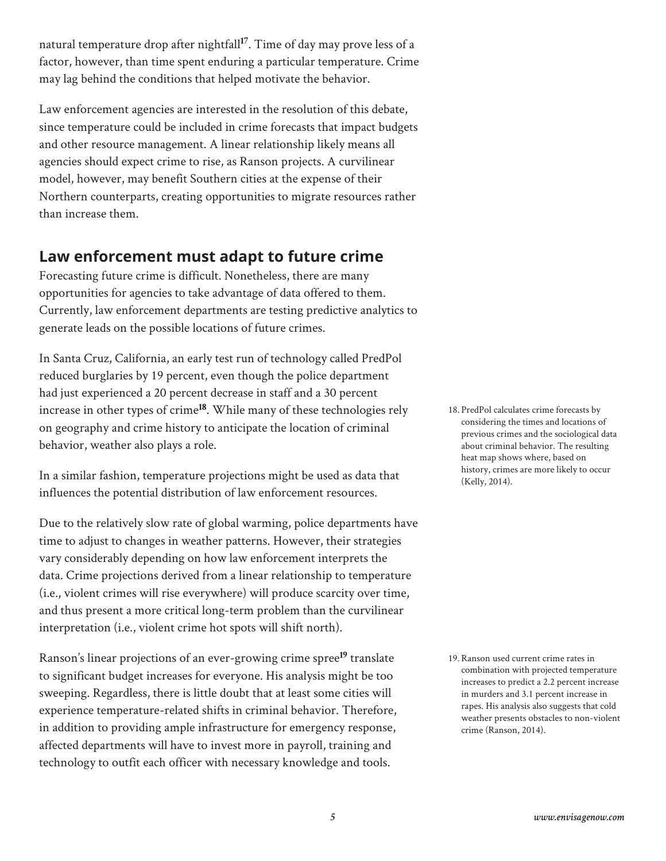natural temperature drop after nightfall**17**. Time of day may prove less of a factor, however, than time spent enduring a particular temperature. Crime may lag behind the conditions that helped motivate the behavior.

Law enforcement agencies are interested in the resolution of this debate, since temperature could be included in crime forecasts that impact budgets and other resource management. A linear relationship likely means all agencies should expect crime to rise, as Ranson projects. A curvilinear model, however, may benefit Southern cities at the expense of their Northern counterparts, creating opportunities to migrate resources rather than increase them.

## **Law enforcement must adapt to future crime**

Forecasting future crime is difficult. Nonetheless, there are many opportunities for agencies to take advantage of data offered to them. Currently, law enforcement departments are testing predictive analytics to generate leads on the possible locations of future crimes.

In Santa Cruz, California, an early test run of technology called PredPol reduced burglaries by 19 percent, even though the police department had just experienced a 20 percent decrease in staff and a 30 percent increase in other types of crime**18**. While many of these technologies rely on geography and crime history to anticipate the location of criminal behavior, weather also plays a role.

In a similar fashion, temperature projections might be used as data that influences the potential distribution of law enforcement resources.

Due to the relatively slow rate of global warming, police departments have time to adjust to changes in weather patterns. However, their strategies vary considerably depending on how law enforcement interprets the data. Crime projections derived from a linear relationship to temperature (i.e., violent crimes will rise everywhere) will produce scarcity over time, and thus present a more critical long-term problem than the curvilinear interpretation (i.e., violent crime hot spots will shift north).

Ranson's linear projections of an ever-growing crime spree**19** translate to significant budget increases for everyone. His analysis might be too sweeping. Regardless, there is little doubt that at least some cities will experience temperature-related shifts in criminal behavior. Therefore, in addition to providing ample infrastructure for emergency response, affected departments will have to invest more in payroll, training and technology to outfit each officer with necessary knowledge and tools.

18. PredPol calculates crime forecasts by considering the times and locations of previous crimes and the sociological data about criminal behavior. The resulting heat map shows where, based on history, crimes are more likely to occur (Kelly, 2014).

19.Ranson used current crime rates in combination with projected temperature increases to predict a 2.2 percent increase in murders and 3.1 percent increase in rapes. His analysis also suggests that cold weather presents obstacles to non-violent crime (Ranson, 2014).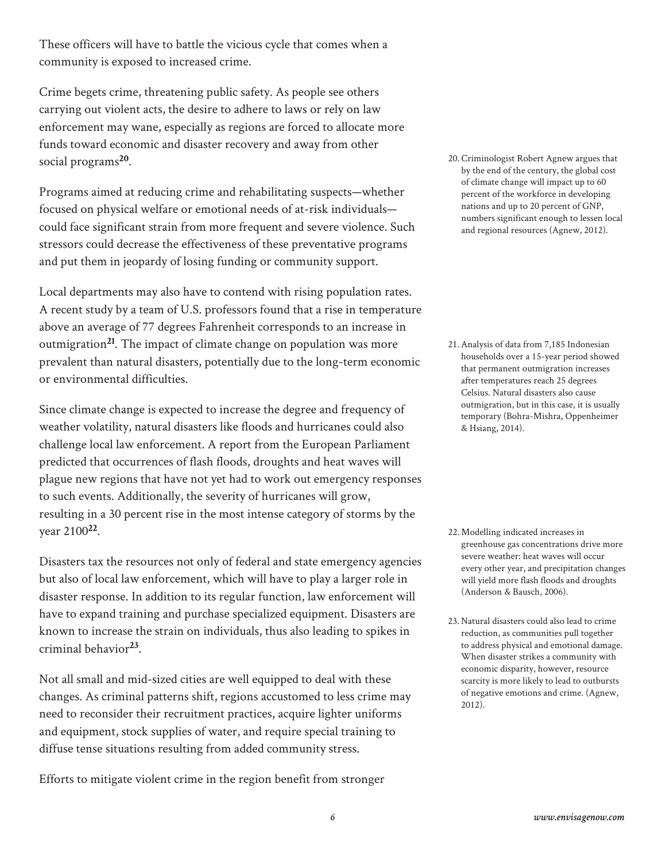These officers will have to battle the vicious cycle that comes when a community is exposed to increased crime.

Crime begets crime, threatening public safety. As people see others carrying out violent acts, the desire to adhere to laws or rely on law enforcement may wane, especially as regions are forced to allocate more funds toward economic and disaster recovery and away from other social programs**20**.

Programs aimed at reducing crime and rehabilitating suspects—whether focused on physical welfare or emotional needs of at-risk individuals could face significant strain from more frequent and severe violence. Such stressors could decrease the effectiveness of these preventative programs and put them in jeopardy of losing funding or community support.

Local departments may also have to contend with rising population rates. A recent study by a team of U.S. professors found that a rise in temperature above an average of 77 degrees Fahrenheit corresponds to an increase in outmigration**21**. The impact of climate change on population was more prevalent than natural disasters, potentially due to the long-term economic or environmental difficulties.

Since climate change is expected to increase the degree and frequency of weather volatility, natural disasters like floods and hurricanes could also challenge local law enforcement. A report from the European Parliament predicted that occurrences of flash floods, droughts and heat waves will plague new regions that have not yet had to work out emergency responses to such events. Additionally, the severity of hurricanes will grow, resulting in a 30 percent rise in the most intense category of storms by the year 2100**22**.

Disasters tax the resources not only of federal and state emergency agencies but also of local law enforcement, which will have to play a larger role in disaster response. In addition to its regular function, law enforcement will have to expand training and purchase specialized equipment. Disasters are known to increase the strain on individuals, thus also leading to spikes in criminal behavior**23**.

Not all small and mid-sized cities are well equipped to deal with these changes. As criminal patterns shift, regions accustomed to less crime may need to reconsider their recruitment practices, acquire lighter uniforms and equipment, stock supplies of water, and require special training to diffuse tense situations resulting from added community stress.

Efforts to mitigate violent crime in the region benefit from stronger

20.Criminologist Robert Agnew argues that by the end of the century, the global cost of climate change will impact up to 60 percent of the workforce in developing nations and up to 20 percent of GNP, numbers significant enough to lessen local and regional resources (Agnew, 2012).

21.Analysis of data from 7,185 Indonesian households over a 15-year period showed that permanent outmigration increases after temperatures reach 25 degrees Celsius. Natural disasters also cause outmigration, but in this case, it is usually temporary (Bohra-Mishra, Oppenheimer & Hsiang, 2014).

- 22. Modelling indicated increases in greenhouse gas concentrations drive more severe weather: heat waves will occur every other year, and precipitation changes will yield more flash floods and droughts (Anderson & Bausch, 2006).
- 23. Natural disasters could also lead to crime reduction, as communities pull together to address physical and emotional damage. When disaster strikes a community with economic disparity, however, resource scarcity is more likely to lead to outbursts of negative emotions and crime. (Agnew, 2012).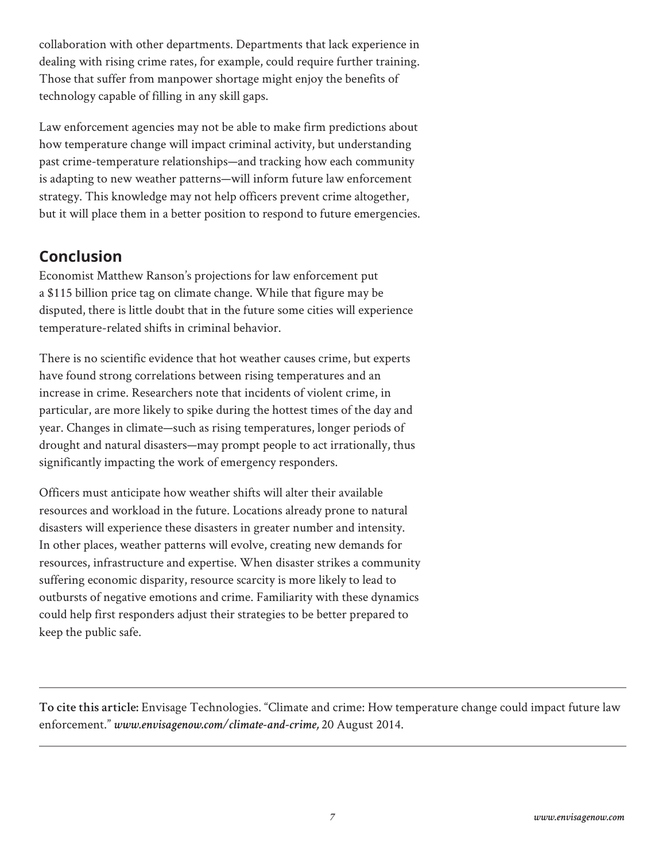collaboration with other departments. Departments that lack experience in dealing with rising crime rates, for example, could require further training. Those that suffer from manpower shortage might enjoy the benefits of technology capable of filling in any skill gaps.

Law enforcement agencies may not be able to make firm predictions about how temperature change will impact criminal activity, but understanding past crime-temperature relationships—and tracking how each community is adapting to new weather patterns—will inform future law enforcement strategy. This knowledge may not help officers prevent crime altogether, but it will place them in a better position to respond to future emergencies.

## **Conclusion**

Economist Matthew Ranson's projections for law enforcement put a \$115 billion price tag on climate change. While that figure may be disputed, there is little doubt that in the future some cities will experience temperature-related shifts in criminal behavior.

There is no scientific evidence that hot weather causes crime, but experts have found strong correlations between rising temperatures and an increase in crime. Researchers note that incidents of violent crime, in particular, are more likely to spike during the hottest times of the day and year. Changes in climate—such as rising temperatures, longer periods of drought and natural disasters—may prompt people to act irrationally, thus significantly impacting the work of emergency responders.

Officers must anticipate how weather shifts will alter their available resources and workload in the future. Locations already prone to natural disasters will experience these disasters in greater number and intensity. In other places, weather patterns will evolve, creating new demands for resources, infrastructure and expertise. When disaster strikes a community suffering economic disparity, resource scarcity is more likely to lead to outbursts of negative emotions and crime. Familiarity with these dynamics could help first responders adjust their strategies to be better prepared to keep the public safe.

**To cite this article:** Envisage Technologies. "Climate and crime: How temperature change could impact future law enforcement." *www.envisagenow.com/climate-and-crime,* 20 August 2014.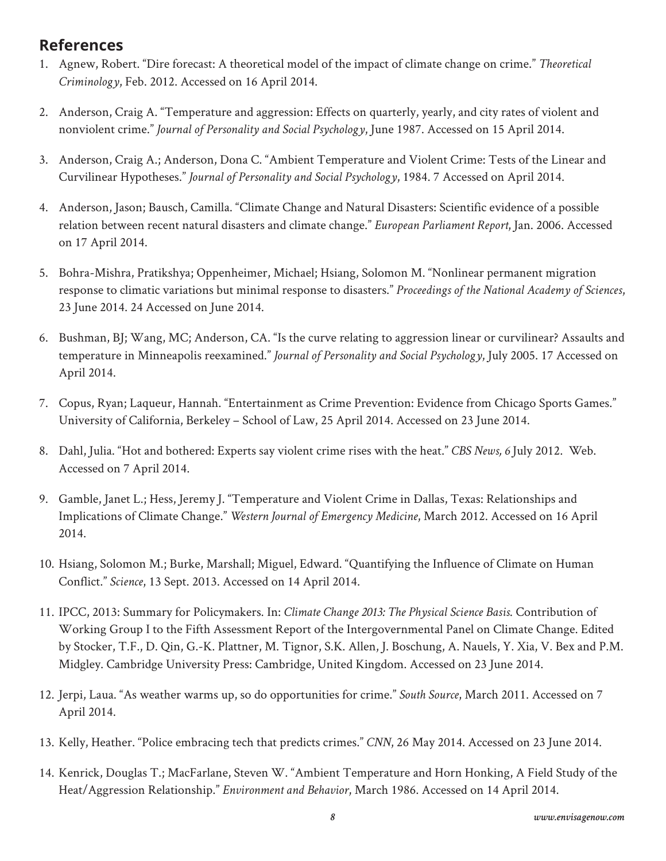#### **References**

- 1. Agnew, Robert. "Dire forecast: A theoretical model of the impact of climate change on crime." *Theoretical Criminology*, Feb. 2012. Accessed on 16 April 2014.
- 2. Anderson, Craig A. "Temperature and aggression: Effects on quarterly, yearly, and city rates of violent and nonviolent crime." *Journal of Personality and Social Psychology*, June 1987. Accessed on 15 April 2014.
- 3. Anderson, Craig A.; Anderson, Dona C. "Ambient Temperature and Violent Crime: Tests of the Linear and Curvilinear Hypotheses." *Journal of Personality and Social Psychology*, 1984. 7 Accessed on April 2014.
- 4. Anderson, Jason; Bausch, Camilla. "Climate Change and Natural Disasters: Scientific evidence of a possible relation between recent natural disasters and climate change." *European Parliament Report*, Jan. 2006. Accessed on 17 April 2014.
- 5. Bohra-Mishra, Pratikshya; Oppenheimer, Michael; Hsiang, Solomon M. "Nonlinear permanent migration response to climatic variations but minimal response to disasters." *Proceedings of the National Academy of Sciences*, 23 June 2014. 24 Accessed on June 2014.
- 6. Bushman, BJ; Wang, MC; Anderson, CA. "Is the curve relating to aggression linear or curvilinear? Assaults and temperature in Minneapolis reexamined." *Journal of Personality and Social Psychology*, July 2005. 17 Accessed on April 2014.
- 7. Copus, Ryan; Laqueur, Hannah. "Entertainment as Crime Prevention: Evidence from Chicago Sports Games." University of California, Berkeley – School of Law, 25 April 2014. Accessed on 23 June 2014.
- 8. Dahl, Julia. "Hot and bothered: Experts say violent crime rises with the heat." *CBS News, 6* July 2012. Web. Accessed on 7 April 2014.
- 9. Gamble, Janet L.; Hess, Jeremy J. "Temperature and Violent Crime in Dallas, Texas: Relationships and Implications of Climate Change." *Western Journal of Emergency Medicine*, March 2012. Accessed on 16 April 2014.
- 10. Hsiang, Solomon M.; Burke, Marshall; Miguel, Edward. "Quantifying the Influence of Climate on Human Conflict." *Science*, 13 Sept. 2013. Accessed on 14 April 2014.
- 11. IPCC, 2013: Summary for Policymakers. In: *Climate Change 2013: The Physical Science Basis*. Contribution of Working Group I to the Fifth Assessment Report of the Intergovernmental Panel on Climate Change. Edited by Stocker, T.F., D. Qin, G.-K. Plattner, M. Tignor, S.K. Allen, J. Boschung, A. Nauels, Y. Xia, V. Bex and P.M. Midgley. Cambridge University Press: Cambridge, United Kingdom. Accessed on 23 June 2014.
- 12. Jerpi, Laua. "As weather warms up, so do opportunities for crime." *South Source*, March 2011. Accessed on 7 April 2014.
- 13. Kelly, Heather. "Police embracing tech that predicts crimes." *CNN*, 26 May 2014. Accessed on 23 June 2014.
- 14. Kenrick, Douglas T.; MacFarlane, Steven W. "Ambient Temperature and Horn Honking, A Field Study of the Heat/Aggression Relationship." *Environment and Behavior*, March 1986. Accessed on 14 April 2014.